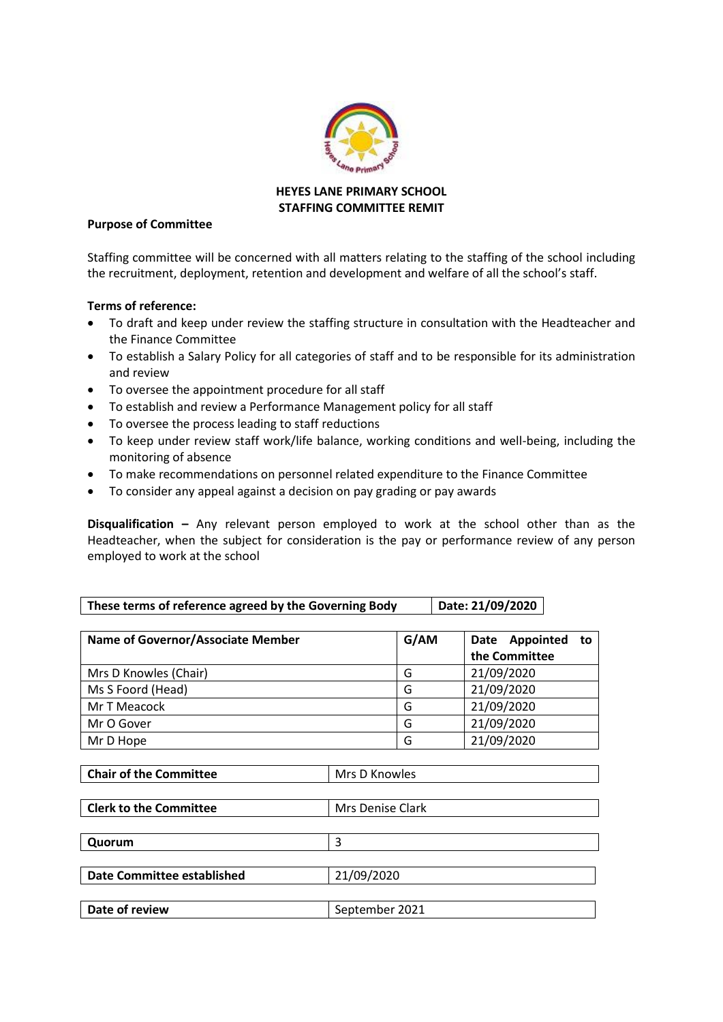

## **HEYES LANE PRIMARY SCHOOL STAFFING COMMITTEE REMIT**

## **Purpose of Committee**

Staffing committee will be concerned with all matters relating to the staffing of the school including the recruitment, deployment, retention and development and welfare of all the school's staff.

## **Terms of reference:**

- To draft and keep under review the staffing structure in consultation with the Headteacher and the Finance Committee
- To establish a Salary Policy for all categories of staff and to be responsible for its administration and review
- To oversee the appointment procedure for all staff
- To establish and review a Performance Management policy for all staff
- To oversee the process leading to staff reductions
- To keep under review staff work/life balance, working conditions and well-being, including the monitoring of absence
- To make recommendations on personnel related expenditure to the Finance Committee
- To consider any appeal against a decision on pay grading or pay awards

**Disqualification –** Any relevant person employed to work at the school other than as the Headteacher, when the subject for consideration is the pay or performance review of any person employed to work at the school

| Name of Governor/Associate Member | G/AM | Date Appointed<br>to to<br>the Committee |
|-----------------------------------|------|------------------------------------------|
| Mrs D Knowles (Chair)             | G    | 21/09/2020                               |
| Ms S Foord (Head)                 | G    | 21/09/2020                               |
| Mr T Meacock                      | G    | 21/09/2020                               |
| Mr O Gover                        | G    | 21/09/2020                               |
| Mr D Hope                         | G    | 21/09/2020                               |

| <b>Clerk to the Committee</b> | Mrs Denise Clark |
|-------------------------------|------------------|
|                               |                  |
| Quorum                        |                  |
|                               |                  |
| Date Committee established    | 21/09/2020       |
|                               |                  |
| Date of review                | September 2021   |